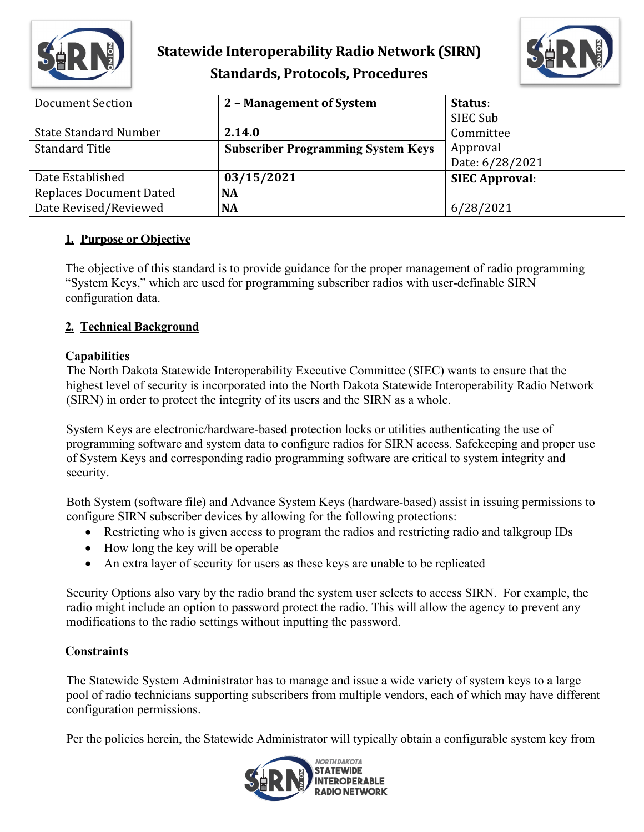



| Document Section               | 2 - Management of System                  | Status:               |
|--------------------------------|-------------------------------------------|-----------------------|
|                                |                                           | SIEC Sub              |
| <b>State Standard Number</b>   | 2.14.0                                    | Committee             |
| <b>Standard Title</b>          | <b>Subscriber Programming System Keys</b> | Approval              |
|                                |                                           | Date: 6/28/2021       |
| Date Established               | 03/15/2021                                | <b>SIEC Approval:</b> |
| <b>Replaces Document Dated</b> | <b>NA</b>                                 |                       |
| Date Revised/Reviewed          | <b>NA</b>                                 | 6/28/2021             |

### **1. Purpose or Objective**

The objective of this standard is to provide guidance for the proper management of radio programming "System Keys," which are used for programming subscriber radios with user-definable SIRN configuration data.

## **2. Technical Background**

### **Capabilities**

The North Dakota Statewide Interoperability Executive Committee (SIEC) wants to ensure that the highest level of security is incorporated into the North Dakota Statewide Interoperability Radio Network (SIRN) in order to protect the integrity of its users and the SIRN as a whole.

System Keys are electronic/hardware-based protection locks or utilities authenticating the use of programming software and system data to configure radios for SIRN access. Safekeeping and proper use of System Keys and corresponding radio programming software are critical to system integrity and security.

Both System (software file) and Advance System Keys (hardware-based) assist in issuing permissions to configure SIRN subscriber devices by allowing for the following protections:

- Restricting who is given access to program the radios and restricting radio and talkgroup IDs
- How long the key will be operable
- An extra layer of security for users as these keys are unable to be replicated

Security Options also vary by the radio brand the system user selects to access SIRN. For example, the radio might include an option to password protect the radio. This will allow the agency to prevent any modifications to the radio settings without inputting the password.

## **Constraints**

The Statewide System Administrator has to manage and issue a wide variety of system keys to a large pool of radio technicians supporting subscribers from multiple vendors, each of which may have different configuration permissions.

Per the policies herein, the Statewide Administrator will typically obtain a configurable system key from

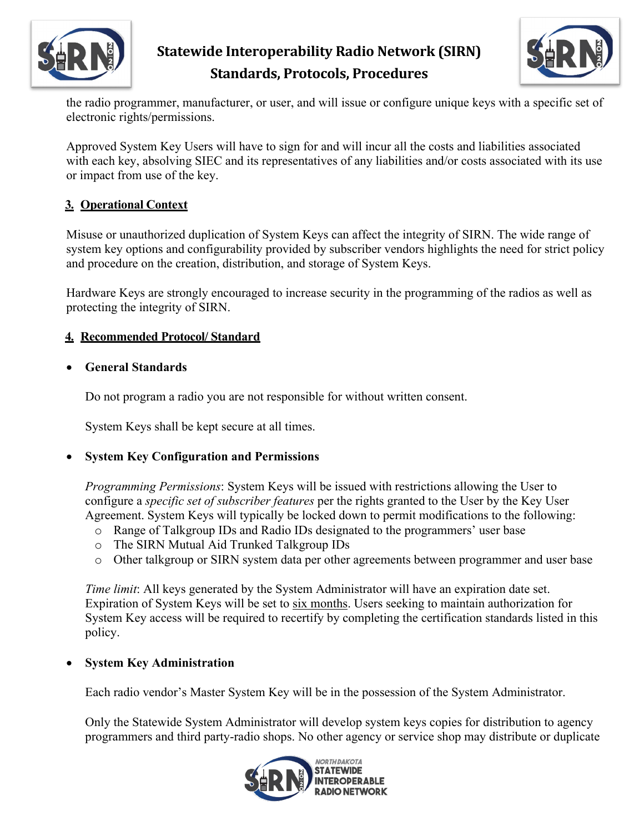



the radio programmer, manufacturer, or user, and will issue or configure unique keys with a specific set of electronic rights/permissions.

Approved System Key Users will have to sign for and will incur all the costs and liabilities associated with each key, absolving SIEC and its representatives of any liabilities and/or costs associated with its use or impact from use of the key.

#### **3. Operational Context**

Misuse or unauthorized duplication of System Keys can affect the integrity of SIRN. The wide range of system key options and configurability provided by subscriber vendors highlights the need for strict policy and procedure on the creation, distribution, and storage of System Keys.

Hardware Keys are strongly encouraged to increase security in the programming of the radios as well as protecting the integrity of SIRN.

#### **4. Recommended Protocol/ Standard**

#### • **General Standards**

Do not program a radio you are not responsible for without written consent.

System Keys shall be kept secure at all times.

#### • **System Key Configuration and Permissions**

*Programming Permissions*: System Keys will be issued with restrictions allowing the User to configure a *specific set of subscriber features* per the rights granted to the User by the Key User Agreement. System Keys will typically be locked down to permit modifications to the following:

- o Range of Talkgroup IDs and Radio IDs designated to the programmers' user base
- o The SIRN Mutual Aid Trunked Talkgroup IDs
- o Other talkgroup or SIRN system data per other agreements between programmer and user base

*Time limit*: All keys generated by the System Administrator will have an expiration date set. Expiration of System Keys will be set to six months. Users seeking to maintain authorization for System Key access will be required to recertify by completing the certification standards listed in this policy.

#### • **System Key Administration**

Each radio vendor's Master System Key will be in the possession of the System Administrator.

Only the Statewide System Administrator will develop system keys copies for distribution to agency programmers and third party-radio shops. No other agency or service shop may distribute or duplicate

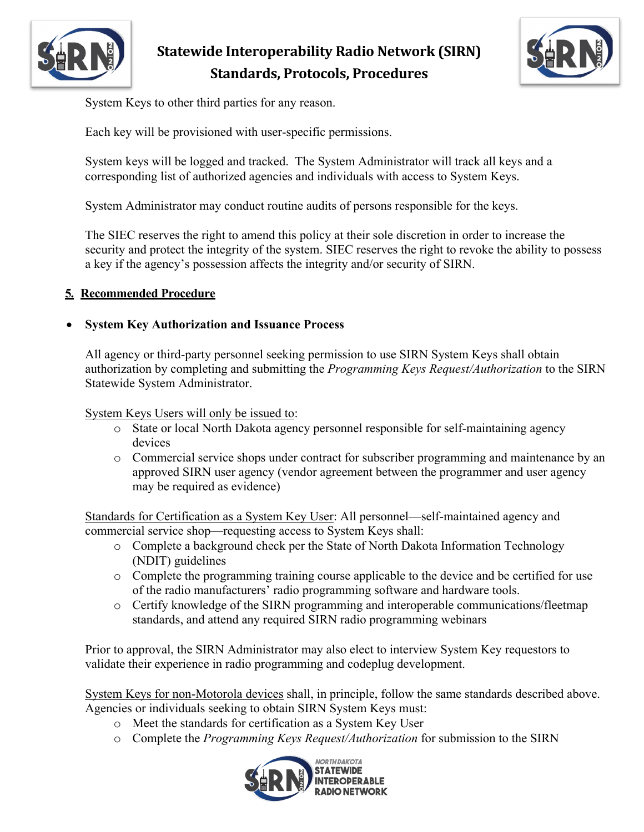



System Keys to other third parties for any reason.

Each key will be provisioned with user-specific permissions.

System keys will be logged and tracked. The System Administrator will track all keys and a corresponding list of authorized agencies and individuals with access to System Keys.

System Administrator may conduct routine audits of persons responsible for the keys.

The SIEC reserves the right to amend this policy at their sole discretion in order to increase the security and protect the integrity of the system. SIEC reserves the right to revoke the ability to possess a key if the agency's possession affects the integrity and/or security of SIRN.

#### **5. Recommended Procedure**

#### • **System Key Authorization and Issuance Process**

All agency or third-party personnel seeking permission to use SIRN System Keys shall obtain authorization by completing and submitting the *Programming Keys Request/Authorization* to the SIRN Statewide System Administrator.

System Keys Users will only be issued to:

- o State or local North Dakota agency personnel responsible for self-maintaining agency devices
- o Commercial service shops under contract for subscriber programming and maintenance by an approved SIRN user agency (vendor agreement between the programmer and user agency may be required as evidence)

Standards for Certification as a System Key User: All personnel—self-maintained agency and commercial service shop—requesting access to System Keys shall:

- o Complete a background check per the State of North Dakota Information Technology (NDIT) guidelines
- o Complete the programming training course applicable to the device and be certified for use of the radio manufacturers' radio programming software and hardware tools.
- o Certify knowledge of the SIRN programming and interoperable communications/fleetmap standards, and attend any required SIRN radio programming webinars

Prior to approval, the SIRN Administrator may also elect to interview System Key requestors to validate their experience in radio programming and codeplug development.

System Keys for non-Motorola devices shall, in principle, follow the same standards described above. Agencies or individuals seeking to obtain SIRN System Keys must:

- o Meet the standards for certification as a System Key User
- o Complete the *Programming Keys Request/Authorization* for submission to the SIRN

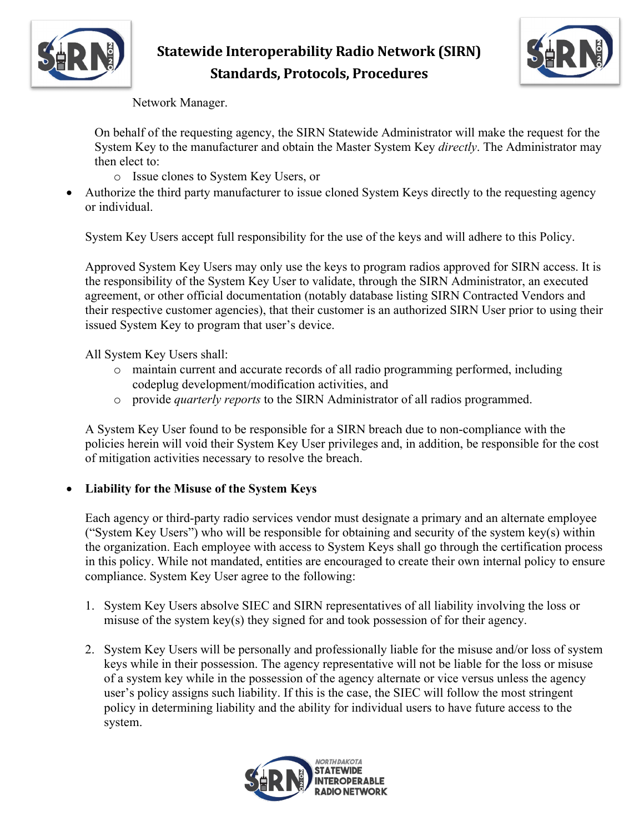



Network Manager.

On behalf of the requesting agency, the SIRN Statewide Administrator will make the request for the System Key to the manufacturer and obtain the Master System Key *directly*. The Administrator may then elect to:

- o Issue clones to System Key Users, or
- Authorize the third party manufacturer to issue cloned System Keys directly to the requesting agency or individual.

System Key Users accept full responsibility for the use of the keys and will adhere to this Policy.

Approved System Key Users may only use the keys to program radios approved for SIRN access. It is the responsibility of the System Key User to validate, through the SIRN Administrator, an executed agreement, or other official documentation (notably database listing SIRN Contracted Vendors and their respective customer agencies), that their customer is an authorized SIRN User prior to using their issued System Key to program that user's device.

All System Key Users shall:

- o maintain current and accurate records of all radio programming performed, including codeplug development/modification activities, and
- o provide *quarterly reports* to the SIRN Administrator of all radios programmed.

A System Key User found to be responsible for a SIRN breach due to non-compliance with the policies herein will void their System Key User privileges and, in addition, be responsible for the cost of mitigation activities necessary to resolve the breach.

## • **Liability for the Misuse of the System Keys**

Each agency or third-party radio services vendor must designate a primary and an alternate employee ("System Key Users") who will be responsible for obtaining and security of the system key(s) within the organization. Each employee with access to System Keys shall go through the certification process in this policy. While not mandated, entities are encouraged to create their own internal policy to ensure compliance. System Key User agree to the following:

- 1. System Key Users absolve SIEC and SIRN representatives of all liability involving the loss or misuse of the system key(s) they signed for and took possession of for their agency.
- 2. System Key Users will be personally and professionally liable for the misuse and/or loss of system keys while in their possession. The agency representative will not be liable for the loss or misuse of a system key while in the possession of the agency alternate or vice versus unless the agency user's policy assigns such liability. If this is the case, the SIEC will follow the most stringent policy in determining liability and the ability for individual users to have future access to the system.